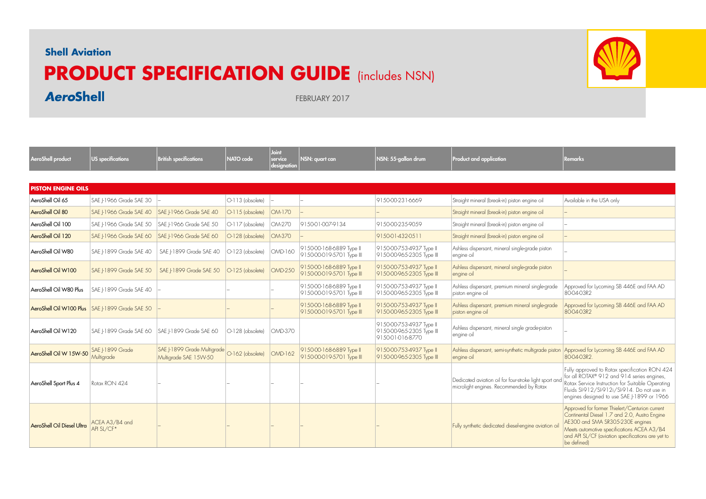## **Shell Aviation**

**AeroShell** 

## **PRODUCT SPECIFICATION GUIDE** (includes NSN)



FEBRUARY 2017

| AeroShell product          | US specifications                               | <b>British specifications</b>                                         | NATO code                  | Joint<br>service<br>designation | NSN: quart can                                        | NSN: 55-gallon drum                                                     | Product and application                                                                                     | <b>Remarks</b>                                                                                                                                                                                                                                        |
|----------------------------|-------------------------------------------------|-----------------------------------------------------------------------|----------------------------|---------------------------------|-------------------------------------------------------|-------------------------------------------------------------------------|-------------------------------------------------------------------------------------------------------------|-------------------------------------------------------------------------------------------------------------------------------------------------------------------------------------------------------------------------------------------------------|
|                            |                                                 |                                                                       |                            |                                 |                                                       |                                                                         |                                                                                                             |                                                                                                                                                                                                                                                       |
| <b>PISTON ENGINE OILS</b>  |                                                 |                                                                       |                            |                                 |                                                       |                                                                         |                                                                                                             |                                                                                                                                                                                                                                                       |
| AeroShell Oil 65           | SAE   1966 Grade SAE 30                         |                                                                       | $O-113$ (obsolete)         |                                 |                                                       | 9150-00-231-6669                                                        | Straight mineral (break-in) piston engine oil                                                               | Available in the USA only                                                                                                                                                                                                                             |
| AeroShell Oil 80           | SAE   1966 Grade SAE 40                         | SAE   1966 Grade SAE 40                                               | $\bigcirc$ -115 (obsolete) | OM-170                          |                                                       |                                                                         | Straight mineral (break-in) piston engine oil                                                               |                                                                                                                                                                                                                                                       |
| AeroShell Oil 100          | SAE 1966 Grade SAE 50                           | SAE I-1966 Grade SAE 50                                               | $\bigcirc$ -117 (obsolete) | OM-270                          | 9150-01-007-9134                                      | 9150-00-235-9059                                                        | Straight mineral (break-in) piston engine oil                                                               |                                                                                                                                                                                                                                                       |
| AeroShell Oil 120          | SAE I-1966 Grade SAE 60                         | SAE  -1966 Grade SAE 60                                               | O-128 (obsolete)           | OM-370                          |                                                       | 9150-01-432-0511                                                        | Straight mineral (break-in) piston engine oil                                                               |                                                                                                                                                                                                                                                       |
| AeroShell Oil W80          | SAE  -1899 Grade SAE 40                         | SAE  -1899 Grade SAE 40                                               | $O-123$ (obsolete)         | <b>OMD-160</b>                  | 9150-00-168-6889 Type II<br>9150-00-019-5701 Type III | 9150-00-753-4937 Type II<br>9150-00-965-2305 Type III                   | Ashless dispersant, mineral single-grade piston<br>engine oil                                               |                                                                                                                                                                                                                                                       |
| AeroShell Oil W100         | SAE I-1899 Grade SAE 50                         | SAE I-1899 Grade SAE 50                                               | $O-125$ (obsolete)         | <b>OMD-250</b>                  | 9150-00-168-6889 Type II<br>9150-00-019-5701 Type III | 9150-00-753-4937 Type II<br>9150-00-965-2305 Type III                   | Ashless dispersant, mineral single-grade piston<br>engine oil                                               |                                                                                                                                                                                                                                                       |
| AeroShell Oil W80 Plus     | SAE I-1899 Grade SAE 40                         |                                                                       |                            |                                 | 9150-00-168-6889 Type II<br>9150-00-019-5701 Type III | 9150-00-753-4937 Type II<br>9150-00-965-2305 Type III                   | Ashless dispersant, premium mineral single-grade<br>piston engine oil                                       | Approved for Lycoming SB 446E and FAA AD<br>80-04-03R2                                                                                                                                                                                                |
|                            | AeroShell Oil W100 Plus SAE   1899 Grade SAE 50 |                                                                       |                            |                                 | 9150-00-168-6889 Type II<br>9150-00-019-5701 Type III | 9150-00-753-4937 Type II<br>9150-00-965-2305 Type III                   | Ashless dispersant, premium mineral single-grade<br>piston engine oil                                       | Approved for Lycoming SB 446E and FAA AD<br>80-04-03R2                                                                                                                                                                                                |
| AeroShell Oil W120         | SAE   1899 Grade SAE 60                         | SAE I-1899 Grade SAE 60                                               | $O-128$ (obsolete)         | <b>OMD-370</b>                  |                                                       | 9150-00-753-4937 Type II<br>9150-00-965-2305 Type III<br>915001016-8770 | Ashless dispersant, mineral single grade-piston<br>engine oil                                               |                                                                                                                                                                                                                                                       |
| AeroShell Oil W 15W-50     | SAE I-1899 Grade<br>Multigrade                  | SAE J-1899 Grade Multigrade 0-162 (obsolete)<br>Multigrade SAE 15W-50 |                            | <b>OMD-162</b>                  | 9150-00-168-6889 Type II<br>9150-00-019-5701 Type III | 9150-00-753-4937 Type II<br>9150-00-965-2305 Type III                   | Ashless dispersant, semi-synthetic multigrade piston Approved for Lycoming SB 446E and FAA AD<br>engine oil | 800403R2                                                                                                                                                                                                                                              |
| AeroShell Sport Plus 4     | Rotax RON 424                                   |                                                                       |                            |                                 |                                                       |                                                                         | Dedicated aviation oil for four-stroke light sport and<br>microlight engines. Recommended by Rotax          | Fully approved to Rotax specification RON 424<br>for all ROTAX® 912 and 914 series engines,<br>Rotax Service Instruction for Suitable Operating<br>Fluids SI-912/SI-912i/SI-914. Do not use in<br>engines designed to use SAE J-1899 or 1966          |
| AeroShell Oil Diesel Ultra | ACEA A3/B4 and<br>API SL/CF*                    |                                                                       |                            |                                 |                                                       |                                                                         | Fully synthetic dedicated diesel-engine aviation oi                                                         | Approved for former Thielert/Centurion current<br>Continental Diesel 1.7 and 2.0, Austro Engine<br>AE300 and SMA SR305-230E engines<br>Meets automotive specifications ACEA A3/B4<br>and API SL/CF (aviation specifications are yet to<br>be defined) |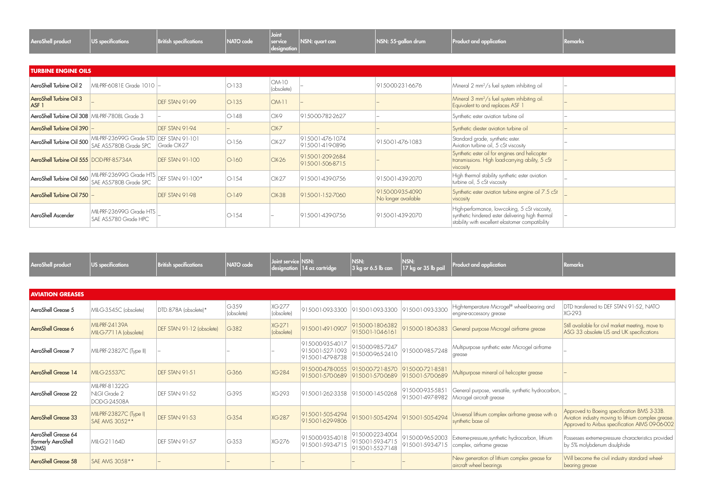| <b>AeroShell product</b> | $\vert$ US specifications | <b>British specifications</b> |  | $ $ designation $ $ | $\vert$ NATO code $\vert$ service $\vert$ NSN: quart can | $\vert$ NSN: 55-gallon drum | Product and application | Remarks |
|--------------------------|---------------------------|-------------------------------|--|---------------------|----------------------------------------------------------|-----------------------------|-------------------------|---------|
|--------------------------|---------------------------|-------------------------------|--|---------------------|----------------------------------------------------------|-----------------------------|-------------------------|---------|

|                                                    | <b>TURBINE ENGINE OILS</b>                                          |                        |         |                     |                                      |                                         |                                                                                                                                                        |  |  |  |  |  |  |
|----------------------------------------------------|---------------------------------------------------------------------|------------------------|---------|---------------------|--------------------------------------|-----------------------------------------|--------------------------------------------------------------------------------------------------------------------------------------------------------|--|--|--|--|--|--|
| AeroShell Turbine Oil 2                            | MIL-PRF-6081E Grade 1010 -                                          |                        | $O-133$ | OM-10<br>(obsolete) |                                      | 9150-00-231-6676                        | Mineral 2 mm <sup>2</sup> /s fuel system inhibiting oil                                                                                                |  |  |  |  |  |  |
| <b>AeroShell Turbine Oil 3</b><br>ASF <sub>1</sub> |                                                                     | DFF STAN 91-99         | $O-135$ | $OM-11$             |                                      |                                         | Mineral 3 mm <sup>2</sup> /s fuel system inhibiting oil.<br>Equivalent to and replaces ASF 1                                                           |  |  |  |  |  |  |
| AeroShell Turbine Oil 308   MIL-PRF-7808L Grade 3  |                                                                     |                        | $O-148$ | $OX-9$              | 9150-00-782-2627                     |                                         | Synthetic ester aviation turbine oil                                                                                                                   |  |  |  |  |  |  |
| AeroShell Turbine Oil 390                          |                                                                     | DEF STAN 91-94         |         | $OX-Z$              |                                      |                                         | Synthetic diester aviation turbine oil                                                                                                                 |  |  |  |  |  |  |
| AeroShell Turbine Oil 500                          | MIL-PRF-23699G Grade STD   DEF STAN 91-101<br>SAE AS5780B Grade SPC | Grade OX-27            | $O-156$ | OX-27               | 9150-01-476-1074<br>915001-419-0896  | 9150-01-476-1083                        | Standard grade, synthetic ester.<br>Aviation turbine oil, 5 cSt viscosity                                                                              |  |  |  |  |  |  |
| AeroShell Turbine Oil 555 DOD-PRF-85734A           |                                                                     | <b>DEF STAN 91-100</b> | $O-160$ | $OX-26$             | 9150-01-209-2684<br>9150-01-506-8715 |                                         | Synthetic ester oil for engines and helicopter<br>transmissions. High load-carrying ability, 5 cSt<br>viscosity                                        |  |  |  |  |  |  |
| AeroShell Turbine Oil 560                          | MIL-PRF-23699G Grade HTS<br>SAE AS5780B Grade SPC                   | DEF STAN 91-100*       | $O-154$ | $OX-27$             | 9150-01-439-0756                     | 9150-01-439-2070                        | High thermal stability synthetic ester aviation<br>turbine oil, 5 cSt viscosity                                                                        |  |  |  |  |  |  |
| AeroShell Turbine Oil 750 -                        |                                                                     | DEF STAN 91-98         | $O-149$ | $OX-38$             | 9150-01-152-7060                     | 9150-00-935-4090<br>No longer available | Synthetic ester aviation turbine engine oil 7.5 cSt<br>viscosity                                                                                       |  |  |  |  |  |  |
| AeroShell Ascender                                 | MIL-PRF-23699G Grade HTS<br>SAE AS5780 Grade HPC                    |                        | $O-154$ |                     | 9150-01-439-0756                     | 9150-01-439-2070                        | High-performance, low-coking, 5 cSt viscosity,<br>synthetic hindered ester delivering high thermal<br>stability with excellent elastomer compatibility |  |  |  |  |  |  |

| AeroShell product                                   | <b>US</b> specifications                       | <b>British specifications</b> | NATO code             | Joint service NSN:          | $degree$ designation $ 14$ oz cartridge                  | NSN:<br>$3$ kg or 6.5 lb can                             | NSN:<br>17 kg or 35 lb pail          | Product and application                                                        | Remarks                                                                                                                                               |
|-----------------------------------------------------|------------------------------------------------|-------------------------------|-----------------------|-----------------------------|----------------------------------------------------------|----------------------------------------------------------|--------------------------------------|--------------------------------------------------------------------------------|-------------------------------------------------------------------------------------------------------------------------------------------------------|
|                                                     |                                                |                               |                       |                             |                                                          |                                                          |                                      |                                                                                |                                                                                                                                                       |
| <b>AVIATION GREASES</b>                             |                                                |                               |                       |                             |                                                          |                                                          |                                      |                                                                                |                                                                                                                                                       |
| AeroShell Grease 5                                  | MIL-G-3545C (obsolete)                         | DTD.878A (obsolete)*          | $G-359$<br>(obsolete) | XG-277<br>(obsolete)        | 91,5001-093-3300                                         | 91.5001-093-3300                                         | 9150-01-093-3300                     | High-temperature Microgel® wheel-bearing and<br>engine-accessory grease        | DTD transferred to DEF STAN 91-52, NATO<br>XG-293                                                                                                     |
| AeroShell Grease 6                                  | MII-PRF-24139A<br>MIL-G-7711A (obsolete)       | DEF STAN 91-12 (obsolete)     | $G-382$               | <b>XG-271</b><br>(obsolete) | 9150-01-491-0907                                         | 9150-00-180-6382<br>$915001-104616$                      | 9150-00-180-6383                     | General purpose Microgel airframe grease                                       | Still available for civil market meeting, move to<br>ASG 33 obsolete US and UK specifications                                                         |
| AeroShell Grease 7                                  | MIL-PRF-23827C (Type II)                       |                               |                       |                             | 9150-00-935-4017<br>9150-01-527-1093<br>91,5001-479-8738 | 9150-00-985-7247<br>9150-00-965-2410                     | 9150-00-985-7248                     | Multipurpose synthetic ester Microgel airframe<br>grease                       |                                                                                                                                                       |
| AeroShell Grease 14                                 | MI-G-25537C                                    | DFF STAN 91-51                | G366                  | <b>XG-284</b>               | 9150-00-478-0055<br>9150-01-570-0689                     | 9150-00-721-8570<br>9150-01-570-0689 9150-01-570-0689    | 9150-00-721-858                      | Multipurpose mineral oil helicopter grease                                     |                                                                                                                                                       |
| AeroShell Grease 22                                 | MIL-PRF-81322G<br>NLGI Grade 2<br>DOD-G-24508A | DEF STAN 91-52                | G395                  | XG-293                      | 915001-262-3358                                          | 9150-00-145-0268                                         | 9150-00-935-5851<br>9150-01-497-8982 | General purpose, versatile, synthetic hydrocarbon,<br>Microgel aircraft grease |                                                                                                                                                       |
| <b>AeroShell Grease 33</b>                          | MIL-PRF-23827C (Type I)<br>SAE AMS 3052**      | <b>DFF STAN 91-53</b>         | $G-354$               | <b>XG-287</b>               | 9150-01-505-4294<br>9150-01-629-9806                     | 9150-01-505-4294 9150-01-505-4294                        |                                      | Universal lithium complex airframe grease with a<br>synthetic base oil         | Approved to Boeing specification BMS 3-33B.<br>Aviation industry moving to lithium complex grease.<br>Approved to Airbus specification AIMS 09-06-002 |
| AeroShell Grease 64<br>(formerly AeroShell<br>33MS) | MI-G-21164D                                    | DFF STAN 91-57                | $G-353$               | XG-276                      | 9150-00-935-4018<br>9150-01-593-4715                     | 9150-00-223-4004<br>9150-01-593-4715<br>9150-01-552-7148 | 9150-00-965-2003<br>9150-01-593-4715 | Extreme-pressure, synthetic hydrocarbon, lithium<br>complex, airframe grease   | Possesses extreme-pressure characteristics provided<br>by 5% molybdenum disulphide                                                                    |
| <b>AeroShell Grease 58</b>                          | SAE AMS 3058 **                                |                               |                       |                             |                                                          |                                                          |                                      | New generation of lithium complex grease for<br>aircraft wheel bearings        | Will become the civil industry standard wheel-<br>bearing grease                                                                                      |